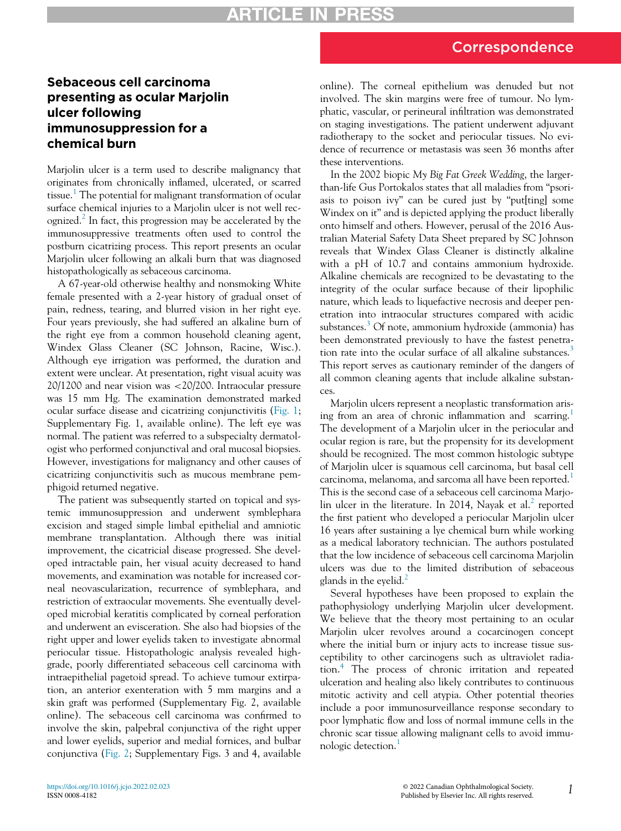## Correspondence

## Sebaceous cell carcinoma presenting as ocular Marjolin ulcer following immunosuppression for a chemical burn

Marjolin ulcer is a term used to describe malignancy that originates from chronically inflamed, ulcerated, or scarred tissue.<sup>[1](#page-1-0)</sup> The potential for malignant transformation of ocular surface chemical injuries to a Marjolin ulcer is not well rec-ognized.<sup>[2](#page-1-1)</sup> In fact, this progression may be accelerated by the immunosuppressive treatments often used to control the postburn cicatrizing process. This report presents an ocular Marjolin ulcer following an alkali burn that was diagnosed histopathologically as sebaceous carcinoma.

A 67-year-old otherwise healthy and nonsmoking White female presented with a 2-year history of gradual onset of pain, redness, tearing, and blurred vision in her right eye. Four years previously, she had suffered an alkaline burn of the right eye from a common household cleaning agent, Windex Glass Cleaner (SC Johnson, Racine, Wisc.). Although eye irrigation was performed, the duration and extent were unclear. At presentation, right visual acuity was 20/1200 and near vision was <20/200. Intraocular pressure was 15 mm Hg. The examination demonstrated marked ocular surface disease and cicatrizing conjunctivitis [\(Fig. 1](#page-1-2); Supplementary Fig. 1, available online). The left eye was normal. The patient was referred to a subspecialty dermatologist who performed conjunctival and oral mucosal biopsies. However, investigations for malignancy and other causes of cicatrizing conjunctivitis such as mucous membrane pemphigoid returned negative.

The patient was subsequently started on topical and systemic immunosuppression and underwent symblephara excision and staged simple limbal epithelial and amniotic membrane transplantation. Although there was initial improvement, the cicatricial disease progressed. She developed intractable pain, her visual acuity decreased to hand movements, and examination was notable for increased corneal neovascularization, recurrence of symblephara, and restriction of extraocular movements. She eventually developed microbial keratitis complicated by corneal perforation and underwent an evisceration. She also had biopsies of the right upper and lower eyelids taken to investigate abnormal periocular tissue. Histopathologic analysis revealed highgrade, poorly differentiated sebaceous cell carcinoma with intraepithelial pagetoid spread. To achieve tumour extirpation, an anterior exenteration with 5 mm margins and a skin graft was performed (Supplementary Fig. 2, available online). The sebaceous cell carcinoma was confirmed to involve the skin, palpebral conjunctiva of the right upper and lower eyelids, superior and medial fornices, and bulbar conjunctiva [\(Fig. 2;](#page-1-3) Supplementary Figs. 3 and 4, available online). The corneal epithelium was denuded but not involved. The skin margins were free of tumour. No lymphatic, vascular, or perineural infiltration was demonstrated on staging investigations. The patient underwent adjuvant radiotherapy to the socket and periocular tissues. No evidence of recurrence or metastasis was seen 36 months after these interventions.

In the 2002 biopic My Big Fat Greek Wedding, the largerthan-life Gus Portokalos states that all maladies from "psoriasis to poison ivy" can be cured just by "put[ting] some Windex on it" and is depicted applying the product liberally onto himself and others. However, perusal of the 2016 Australian Material Safety Data Sheet prepared by SC Johnson reveals that Windex Glass Cleaner is distinctly alkaline with a pH of 10.7 and contains ammonium hydroxide. Alkaline chemicals are recognized to be devastating to the integrity of the ocular surface because of their lipophilic nature, which leads to liquefactive necrosis and deeper penetration into intraocular structures compared with acidic substances.<sup>[3](#page-1-4)</sup> Of note, ammonium hydroxide (ammonia) has been demonstrated previously to have the fastest penetra-tion rate into the ocular surface of all alkaline substances.<sup>[3](#page-1-4)</sup> This report serves as cautionary reminder of the dangers of all common cleaning agents that include alkaline substances.

Marjolin ulcers represent a neoplastic transformation aris-ing from an area of chronic inflammation and scarring.<sup>[1](#page-1-0)</sup> The development of a Marjolin ulcer in the periocular and ocular region is rare, but the propensity for its development should be recognized. The most common histologic subtype of Marjolin ulcer is squamous cell carcinoma, but basal cell carcinoma, melanoma, and sarcoma all have been reported.<sup>[1](#page-1-0)</sup> This is the second case of a sebaceous cell carcinoma Marjo-lin ulcer in the literature. In [2](#page-1-1)014, Nayak et al.<sup>2</sup> reported the first patient who developed a periocular Marjolin ulcer 16 years after sustaining a lye chemical burn while working as a medical laboratory technician. The authors postulated that the low incidence of sebaceous cell carcinoma Marjolin ulcers was due to the limited distribution of sebaceous glands in the eyelid.<sup>[2](#page-1-1)</sup>

Several hypotheses have been proposed to explain the pathophysiology underlying Marjolin ulcer development. We believe that the theory most pertaining to an ocular Marjolin ulcer revolves around a cocarcinogen concept where the initial burn or injury acts to increase tissue susceptibility to other carcinogens such as ultraviolet radiation.[4](#page-1-5) The process of chronic irritation and repeated ulceration and healing also likely contributes to continuous mitotic activity and cell atypia. Other potential theories include a poor immunosurveillance response secondary to poor lymphatic flow and loss of normal immune cells in the chronic scar tissue allowing malignant cells to avoid immu-nologic detection.<sup>[1](#page-1-0)</sup>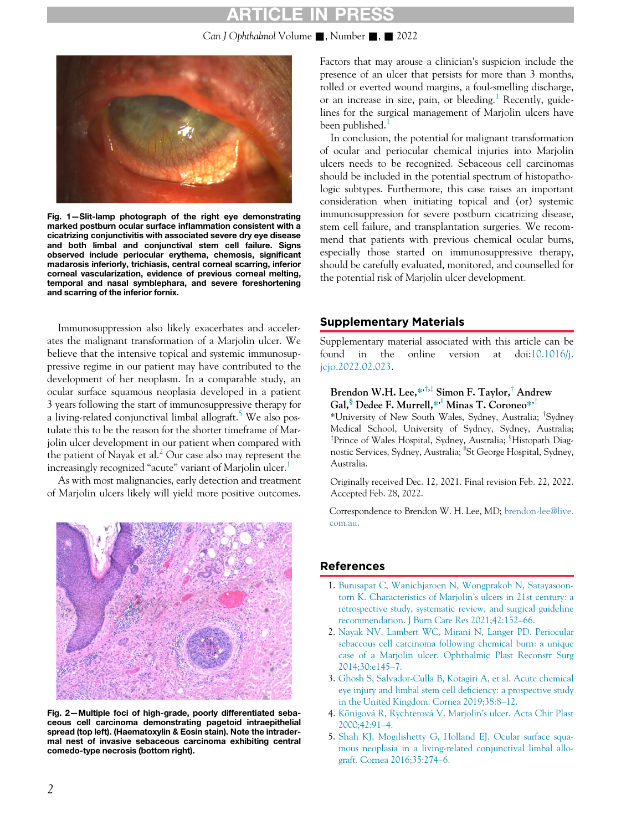## **ARTICLE IN PRE**

Can J Ophthalmol Volume  $\blacksquare$ , Number  $\blacksquare$ ,  $\blacksquare$  2022

<span id="page-1-2"></span>

Fig. 1—Slit-lamp photograph of the right eye demonstrating marked postburn ocular surface inflammation consistent with a cicatrizing conjunctivitis with associated severe dry eye disease and both limbal and conjunctival stem cell failure. Signs observed include periocular erythema, chemosis, significant madarosis inferiorly, trichiasis, central corneal scarring, inferior corneal vascularization, evidence of previous corneal melting, temporal and nasal symblephara, and severe foreshortening and scarring of the inferior fornix.

Immunosuppression also likely exacerbates and accelerates the malignant transformation of a Marjolin ulcer. We believe that the intensive topical and systemic immunosuppressive regime in our patient may have contributed to the development of her neoplasm. In a comparable study, an ocular surface squamous neoplasia developed in a patient 3 years following the start of immunosuppressive therapy for a living-related conjunctival limbal allograft.<sup>[5](#page-1-6)</sup> We also postulate this to be the reason for the shorter timeframe of Marjolin ulcer development in our patient when compared with the patient of Nayak et al.<sup>2</sup> Our case also may represent the increasingly recognized "acute" variant of Marjolin ulcer.<sup>[1](#page-1-0)</sup>

As with most malignancies, early detection and treatment of Marjolin ulcers likely will yield more positive outcomes.

<span id="page-1-6"></span><span id="page-1-5"></span><span id="page-1-4"></span><span id="page-1-3"></span><span id="page-1-1"></span><span id="page-1-0"></span>

Fig. 2—Multiple foci of high-grade, poorly differentiated sebaceous cell carcinoma demonstrating pagetoid intraepithelial spread (top left). (Haematoxylin & Eosin stain). Note the intradermal nest of invasive sebaceous carcinoma exhibiting central comedo-type necrosis (bottom right).

Factors that may arouse a clinician's suspicion include the presence of an ulcer that persists for more than 3 months, rolled or everted wound margins, a foul-smelling discharge, or an increase in size, pain, or bleeding.<sup>[1](#page-1-0)</sup> Recently, guidelines for the surgical management of Marjolin ulcers have been published. $<sup>1</sup>$  $<sup>1</sup>$  $<sup>1</sup>$ </sup>

In conclusion, the potential for malignant transformation of ocular and periocular chemical injuries into Marjolin ulcers needs to be recognized. Sebaceous cell carcinomas should be included in the potential spectrum of histopathologic subtypes. Furthermore, this case raises an important consideration when initiating topical and (or) systemic immunosuppression for severe postburn cicatrizing disease, stem cell failure, and transplantation surgeries. We recommend that patients with previous chemical ocular burns, especially those started on immunosuppressive therapy, should be carefully evaluated, monitored, and counselled for the potential risk of Marjolin ulcer development.

#### Supplementary Materials

Supplementary material associated with this article can be found in the online version at doi[:10.1016/j.](https://doi.org/10.1016/j.jcjo.2022.02.023) [jcjo.2022.02.023.](https://doi.org/10.1016/j.jcjo.2022.02.023)

#### Brendon W.H. Lee,  $*\rightarrow$  Simon F. Taylor,<sup>†</sup> Andrew Gal,<sup>§</sup> Dedee F. Murrell,\*<sup>, ||</sup> Minas T. Coroneo\*<sup>,†</sup>

\*University of New South Wales, Sydney, Australia; <sup>T</sup>Sydney Medical School, University of Sydney, Sydney, Australia; <sup>‡</sup>Prince of Wales Hospital, Sydney, Australia; <sup>§</sup>Histopath Diagnostic Services, Sydney, Australia; <sup>"</sup>St George Hospital, Sydney, Australia.

Originally received Dec. 12, 2021. Final revision Feb. 22, 2022. Accepted Feb. 28, 2022.

Correspondence to Brendon W. H. Lee, MD; [brendon-lee@live.](mailto:brendon-lee@live.com.au) [com.au](mailto:brendon-lee@live.com.au).

#### References

- 1. [Burusapat C, Wanichjaroen N, Wongprakob N, Satayasoon](http://refhub.elsevier.com/S0008-4182(22)00086-2/sbref0001)[torn K. Characteristics of Marjolin](http://refhub.elsevier.com/S0008-4182(22)00086-2/sbref0001)'s ulcers in 21st century: a [retrospective study, systematic review, and surgical guideline](http://refhub.elsevier.com/S0008-4182(22)00086-2/sbref0001) [recommendation. J Burn Care Res 2021;42:152](http://refhub.elsevier.com/S0008-4182(22)00086-2/sbref0001)–66.
- 2. [Nayak NV, Lambert WC, Mirani N, Langer PD. Periocular](http://refhub.elsevier.com/S0008-4182(22)00086-2/sbref0002) [sebaceous cell carcinoma following chemical burn: a unique](http://refhub.elsevier.com/S0008-4182(22)00086-2/sbref0002) [case of a Marjolin ulcer. Ophthalmic Plast Reconstr Surg](http://refhub.elsevier.com/S0008-4182(22)00086-2/sbref0002) [2014;30:e145](http://refhub.elsevier.com/S0008-4182(22)00086-2/sbref0002)–7.
- 3. [Ghosh S, Salvador-Culla B, Kotagiri A, et al. Acute chemical](http://refhub.elsevier.com/S0008-4182(22)00086-2/sbref0003) [eye injury and limbal stem cell de](http://refhub.elsevier.com/S0008-4182(22)00086-2/sbref0003)ficiency: a prospective study [in the United Kingdom. Cornea 2019;38:8](http://refhub.elsevier.com/S0008-4182(22)00086-2/sbref0003)–12.
- 4. [K](http://refhub.elsevier.com/S0008-4182(22)00086-2/sbref0004)önigová [R, Rychterov](http://refhub.elsevier.com/S0008-4182(22)00086-2/sbref0004)á V. Marjolin'[s ulcer. Acta Chir Plast](http://refhub.elsevier.com/S0008-4182(22)00086-2/sbref0004) [2000;42:91](http://refhub.elsevier.com/S0008-4182(22)00086-2/sbref0004)–4.
- 5. [Shah KJ, Mogilishetty G, Holland EJ. Ocular surface squa](http://refhub.elsevier.com/S0008-4182(22)00086-2/sbref0005)[mous neoplasia in a living-related conjunctival limbal allo](http://refhub.elsevier.com/S0008-4182(22)00086-2/sbref0005)[graft. Cornea 2016;35:274](http://refhub.elsevier.com/S0008-4182(22)00086-2/sbref0005)–6.